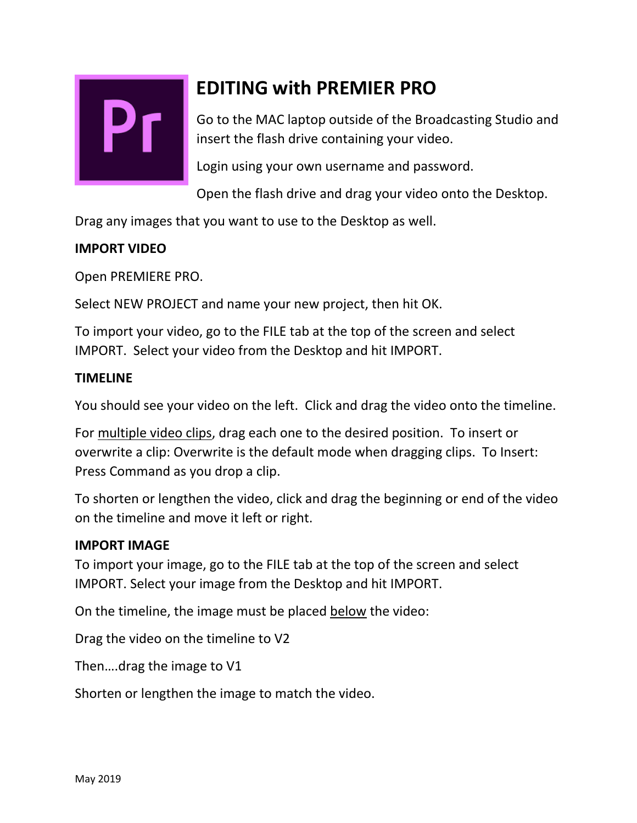

# **EDITING with PREMIER PRO**

Go to the MAC laptop outside of the Broadcasting Studio and insert the flash drive containing your video.

Login using your own username and password.

Open the flash drive and drag your video onto the Desktop.

Drag any images that you want to use to the Desktop as well.

# **IMPORT VIDEO**

Open PREMIERE PRO.

Select NEW PROJECT and name your new project, then hit OK.

To import your video, go to the FILE tab at the top of the screen and select IMPORT. Select your video from the Desktop and hit IMPORT.

## **TIMELINE**

You should see your video on the left. Click and drag the video onto the timeline.

For multiple video clips, drag each one to the desired position. To insert or overwrite a clip: Overwrite is the default mode when dragging clips. To Insert: Press Command as you drop a clip.

To shorten or lengthen the video, click and drag the beginning or end of the video on the timeline and move it left or right.

## **IMPORT IMAGE**

To import your image, go to the FILE tab at the top of the screen and select IMPORT. Select your image from the Desktop and hit IMPORT.

On the timeline, the image must be placed below the video:

Drag the video on the timeline to V2

Then….drag the image to V1

Shorten or lengthen the image to match the video.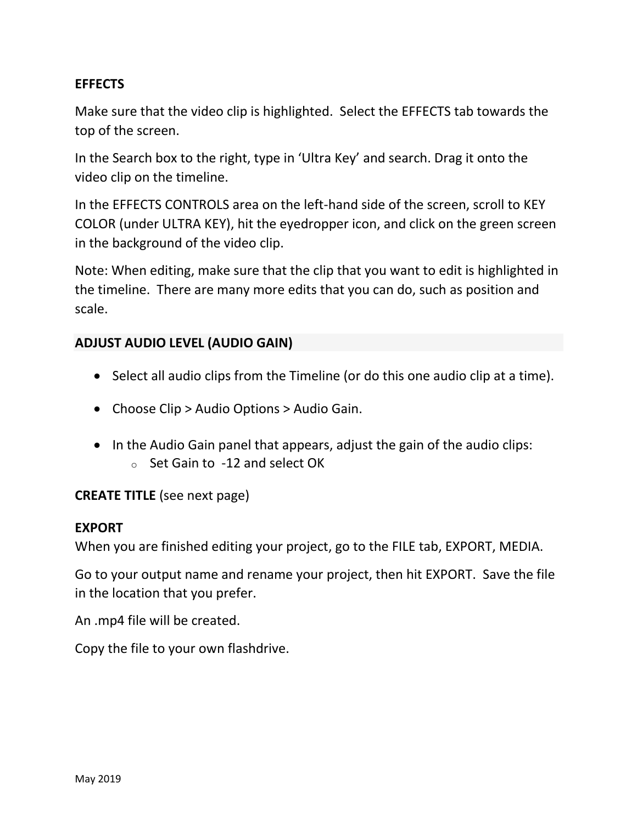#### **EFFECTS**

Make sure that the video clip is highlighted. Select the EFFECTS tab towards the top of the screen.

In the Search box to the right, type in 'Ultra Key' and search. Drag it onto the video clip on the timeline.

In the EFFECTS CONTROLS area on the left-hand side of the screen, scroll to KEY COLOR (under ULTRA KEY), hit the eyedropper icon, and click on the green screen in the background of the video clip.

Note: When editing, make sure that the clip that you want to edit is highlighted in the timeline. There are many more edits that you can do, such as position and scale.

## **ADJUST AUDIO LEVEL (AUDIO GAIN)**

- Select all audio clips from the Timeline (or do this one audio clip at a time).
- Choose Clip > Audio Options > Audio Gain.
- In the Audio Gain panel that appears, adjust the gain of the audio clips: o Set Gain to -12 and select OK

## **CREATE TITLE** (see next page)

#### **EXPORT**

When you are finished editing your project, go to the FILE tab, EXPORT, MEDIA.

Go to your output name and rename your project, then hit EXPORT. Save the file in the location that you prefer.

An .mp4 file will be created.

Copy the file to your own flashdrive.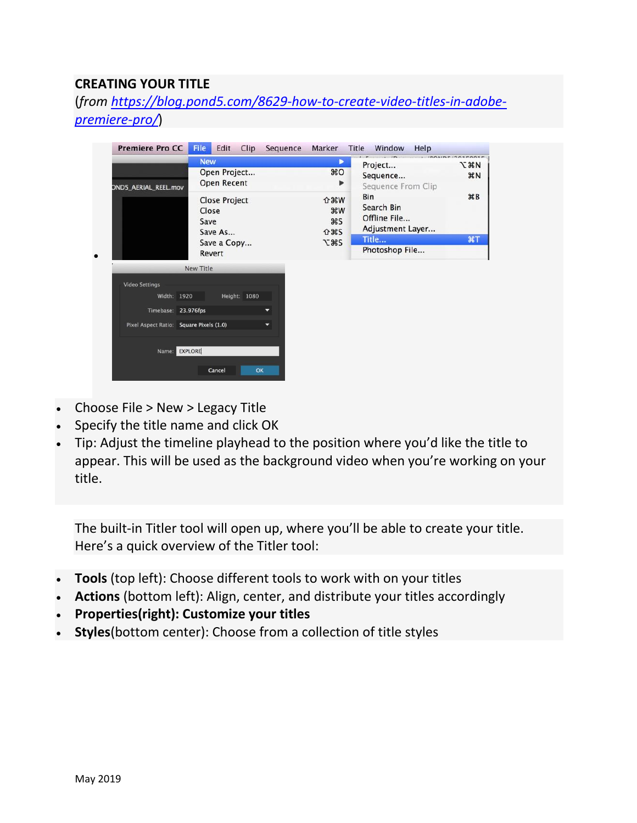## **CREATING YOUR TITLE**

(*from [https://blog.pond5.com/8629-how-to-create-video-titles-in-adobe](https://blog.pond5.com/8629-how-to-create-video-titles-in-adobe-premiere-pro/)[premiere-pro/](https://blog.pond5.com/8629-how-to-create-video-titles-in-adobe-premiere-pro/)*)

| <b>Premiere Pro CC</b>                  | <b>File</b> | Edit<br>Clip         | Sequence | Marker                  | Title<br>Window<br>Help          |                 |
|-----------------------------------------|-------------|----------------------|----------|-------------------------|----------------------------------|-----------------|
|                                         | <b>New</b>  |                      |          | ▶                       | Project                          | <b>Land</b>     |
| Open Project                            |             |                      |          | BC                      | Sequence                         | BN              |
| <b>OND5_AERIAL_REEL.mov</b>             |             | <b>Open Recent</b>   |          | ▶                       | Sequence From Clip               |                 |
|                                         | Close       | <b>Close Project</b> |          | <b>企</b> 第₩<br><b>W</b> | Bin<br>Search Bin                | $\mathcal{H}$ B |
|                                         | Save        | Save As              |          | <b>HS</b><br><b>介出S</b> | Offline File<br>Adjustment Layer |                 |
|                                         |             | Save a Copy          |          | <b>7:345</b>            | Title                            | ET              |
|                                         |             | Revert               |          |                         | Photoshop File                   |                 |
| <b>Video Settings</b>                   |             |                      |          |                         |                                  |                 |
|                                         |             |                      |          |                         |                                  |                 |
| Width: 1920                             |             | Height: 1080         |          |                         |                                  |                 |
| Timebase: 23.976fps                     |             |                      |          |                         |                                  |                 |
| Pixel Aspect Ratio: Square Pixels (1.0) |             |                      |          |                         |                                  |                 |
| Name: EXPLORE                           |             |                      |          |                         |                                  |                 |
|                                         |             | Cancel               | OK       |                         |                                  |                 |
|                                         |             |                      |          |                         |                                  |                 |

- Choose File > New > Legacy Title
- Specify the title name and click OK
- Tip: Adjust the timeline playhead to the position where you'd like the title to appear. This will be used as the background video when you're working on your title.

The built-in Titler tool will open up, where you'll be able to create your title. Here's a quick overview of the Titler tool:

- **Tools** (top left): Choose different tools to work with on your titles
- **Actions** (bottom left): Align, center, and distribute your titles accordingly
- **Properties(right): Customize your titles**
- **Styles**(bottom center): Choose from a collection of title styles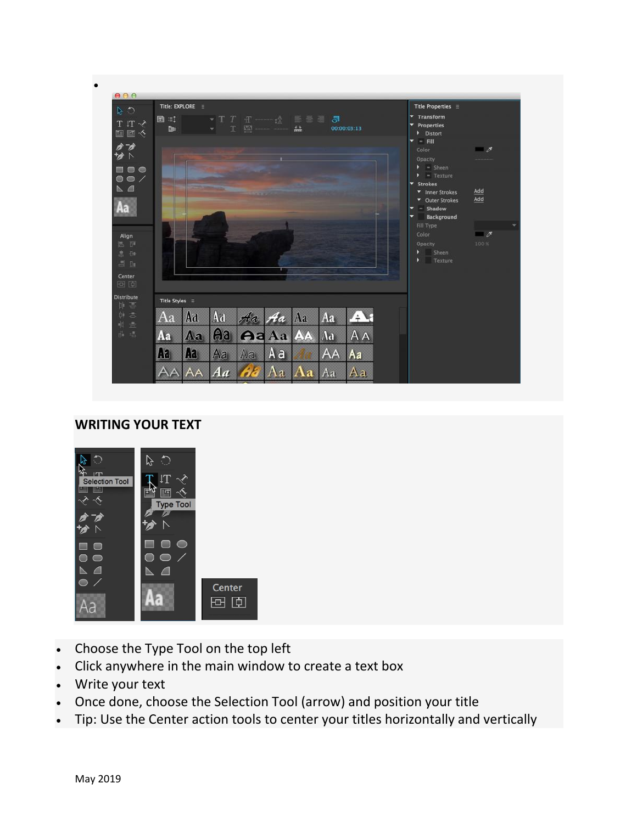

#### **WRITING YOUR TEXT**



- Choose the Type Tool on the top left
- Click anywhere in the main window to create a text box
- Write your text
- Once done, choose the Selection Tool (arrow) and position your title
- Tip: Use the Center action tools to center your titles horizontally and vertically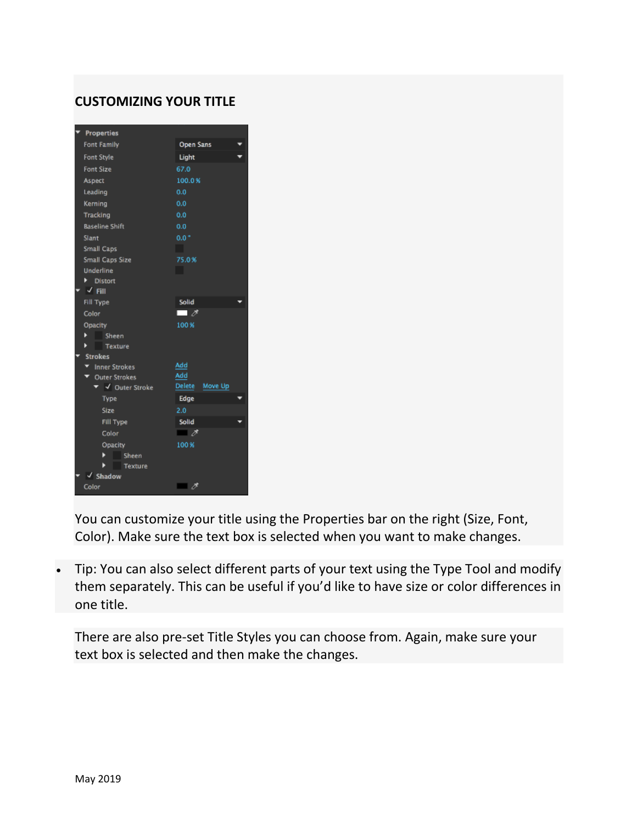## **CUSTOMIZING YOUR TITLE**

| <b>Properties</b>                   |                          |
|-------------------------------------|--------------------------|
| <b>Font Family</b>                  | Open Sans                |
| <b>Font Style</b>                   | Light                    |
| <b>Font Size</b>                    | 67.0                     |
| <b>Aspect</b>                       | 100.0%                   |
| Leading                             | 0.0                      |
| Kerning                             | 0.0                      |
| Tracking                            | 0.0                      |
| <b>Baseline Shift</b>               | 0.0                      |
| Slant                               | $0.0 -$                  |
| Small Caps                          |                          |
| Small Caps Size                     | 75.0%                    |
| <b>Underline</b>                    | a s                      |
| Distort                             |                          |
| $\sqrt{f}$ Fill                     |                          |
| Fill Type                           | Solid                    |
| Color                               | $\overline{\phantom{a}}$ |
| Opacity                             | 100%                     |
| ▶<br>Sheen                          |                          |
| <b>Texture</b>                      |                          |
| <b>Strokes</b>                      |                          |
| T Inner Strokes                     | Add<br>Add               |
| ▼ Outer Strokes<br>▼ √ Outer Stroke | Delete<br>Move Up        |
| Type                                | Edge                     |
| Size                                | 2.0                      |
| Fill Type                           | Solid                    |
| Color                               | $\blacksquare$           |
| Opacity                             | 100%                     |
| Sheen                               |                          |
| Texture                             |                          |
| <b>Shadow</b>                       |                          |
| Color                               | $\blacksquare$ 1         |

You can customize your title using the Properties bar on the right (Size, Font, Color). Make sure the text box is selected when you want to make changes.

 Tip: You can also select different parts of your text using the Type Tool and modify them separately. This can be useful if you'd like to have size or color differences in one title.

There are also pre-set Title Styles you can choose from. Again, make sure your text box is selected and then make the changes.